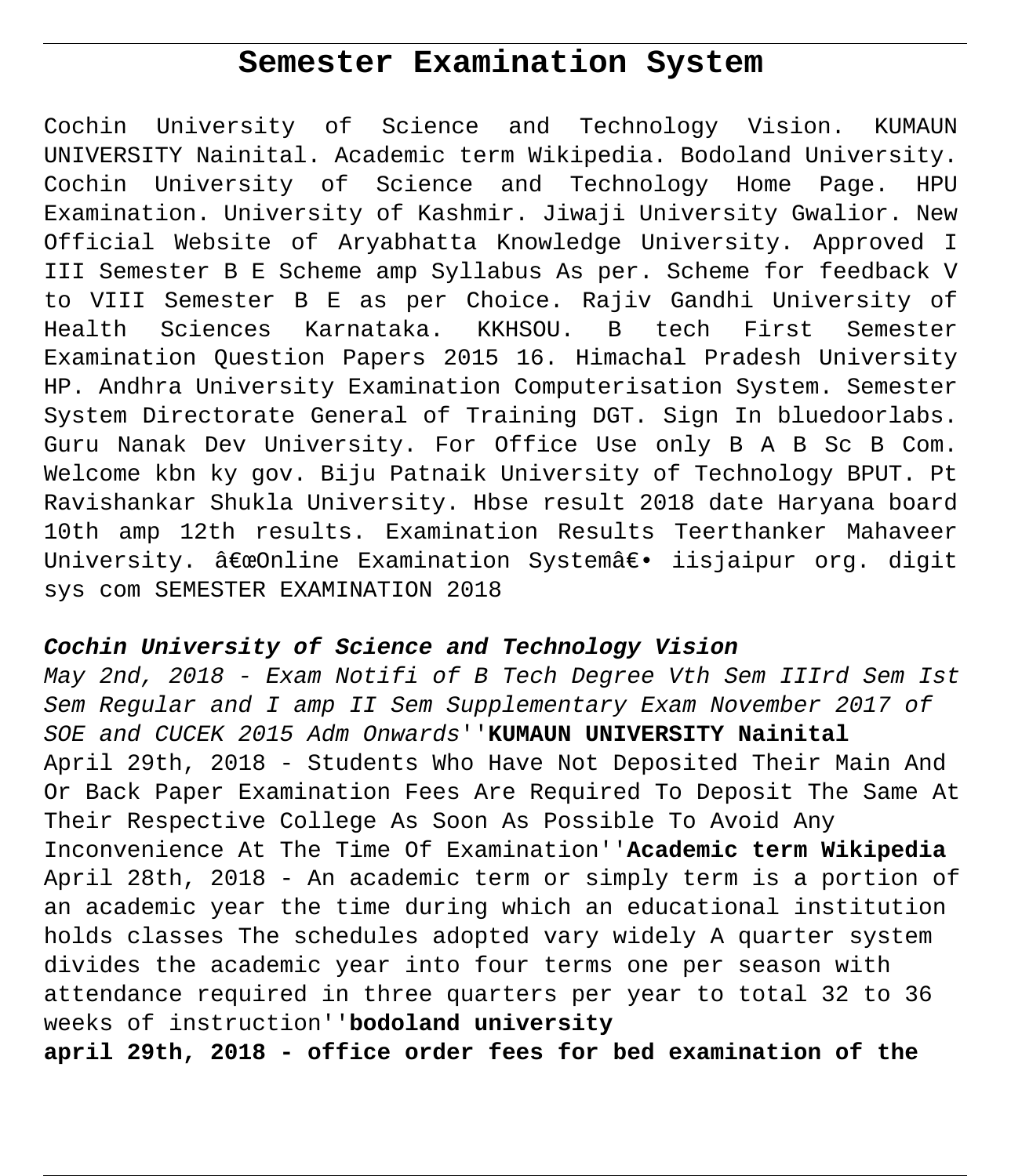# **Semester Examination System**

Cochin University of Science and Technology Vision. KUMAUN UNIVERSITY Nainital. Academic term Wikipedia. Bodoland University. Cochin University of Science and Technology Home Page. HPU Examination. University of Kashmir. Jiwaji University Gwalior. New Official Website of Aryabhatta Knowledge University. Approved I III Semester B E Scheme amp Syllabus As per. Scheme for feedback V to VIII Semester B E as per Choice. Rajiv Gandhi University of Health Sciences Karnataka. KKHSOU. B tech First Semester Examination Question Papers 2015 16. Himachal Pradesh University HP. Andhra University Examination Computerisation System. Semester System Directorate General of Training DGT. Sign In bluedoorlabs. Guru Nanak Dev University. For Office Use only B A B Sc B Com. Welcome kbn ky gov. Biju Patnaik University of Technology BPUT. Pt Ravishankar Shukla University. Hbse result 2018 date Haryana board 10th amp 12th results. Examination Results Teerthanker Mahaveer University. "Online Examination System― iisjaipur org. digit sys com SEMESTER EXAMINATION 2018

# **Cochin University of Science and Technology Vision**

May 2nd, 2018 - Exam Notifi of B Tech Degree Vth Sem IIIrd Sem Ist Sem Regular and I amp II Sem Supplementary Exam November 2017 of SOE and CUCEK 2015 Adm Onwards''**KUMAUN UNIVERSITY Nainital** April 29th, 2018 - Students Who Have Not Deposited Their Main And Or Back Paper Examination Fees Are Required To Deposit The Same At Their Respective College As Soon As Possible To Avoid Any Inconvenience At The Time Of Examination''**Academic term Wikipedia** April 28th, 2018 - An academic term or simply term is a portion of an academic year the time during which an educational institution holds classes The schedules adopted vary widely A quarter system divides the academic year into four terms one per season with attendance required in three quarters per year to total 32 to 36 weeks of instruction''**bodoland university**

**april 29th, 2018 - office order fees for bed examination of the**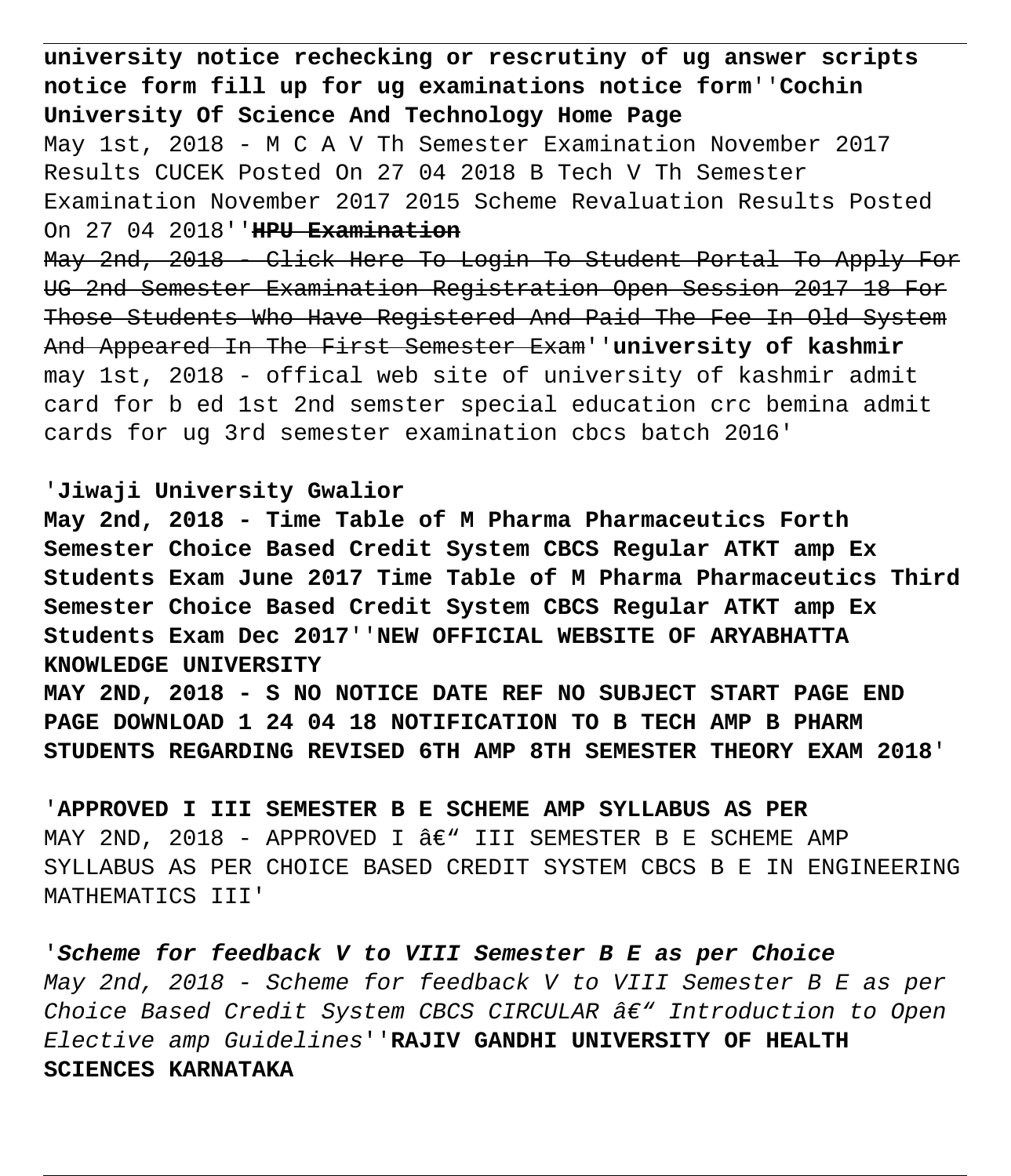**university notice rechecking or rescrutiny of ug answer scripts notice form fill up for ug examinations notice form**''**Cochin University Of Science And Technology Home Page** May 1st, 2018 - M C A V Th Semester Examination November 2017 Results CUCEK Posted On 27 04 2018 B Tech V Th Semester Examination November 2017 2015 Scheme Revaluation Results Posted On 27 04 2018''**HPU Examination** May 2nd, 2018 - Click Here To Login To Student Portal To Apply For UG 2nd Semester Examination Registration Open Session 2017 18 For Those Students Who Have Registered And Paid The Fee In Old System And Appeared In The First Semester Exam''**university of kashmir** may 1st, 2018 - offical web site of university of kashmir admit card for b ed 1st 2nd semster special education crc bemina admit cards for ug 3rd semester examination cbcs batch 2016'

## '**Jiwaji University Gwalior**

**May 2nd, 2018 - Time Table of M Pharma Pharmaceutics Forth Semester Choice Based Credit System CBCS Regular ATKT amp Ex Students Exam June 2017 Time Table of M Pharma Pharmaceutics Third Semester Choice Based Credit System CBCS Regular ATKT amp Ex Students Exam Dec 2017**''**NEW OFFICIAL WEBSITE OF ARYABHATTA KNOWLEDGE UNIVERSITY**

**MAY 2ND, 2018 - S NO NOTICE DATE REF NO SUBJECT START PAGE END PAGE DOWNLOAD 1 24 04 18 NOTIFICATION TO B TECH AMP B PHARM STUDENTS REGARDING REVISED 6TH AMP 8TH SEMESTER THEORY EXAM 2018**'

'**APPROVED I III SEMESTER B E SCHEME AMP SYLLABUS AS PER** MAY 2ND, 2018 - APPROVED I  $\hat{a} \in \mathcal{N}$  iii semester B e scheme amp SYLLABUS AS PER CHOICE BASED CREDIT SYSTEM CBCS B E IN ENGINEERING MATHEMATICS III'

'**Scheme for feedback V to VIII Semester B E as per Choice** May 2nd, 2018 - Scheme for feedback V to VIII Semester B E as per Choice Based Credit System CBCS CIRCULAR  $\hat{a}\epsilon$ " Introduction to Open Elective amp Guidelines''**RAJIV GANDHI UNIVERSITY OF HEALTH SCIENCES KARNATAKA**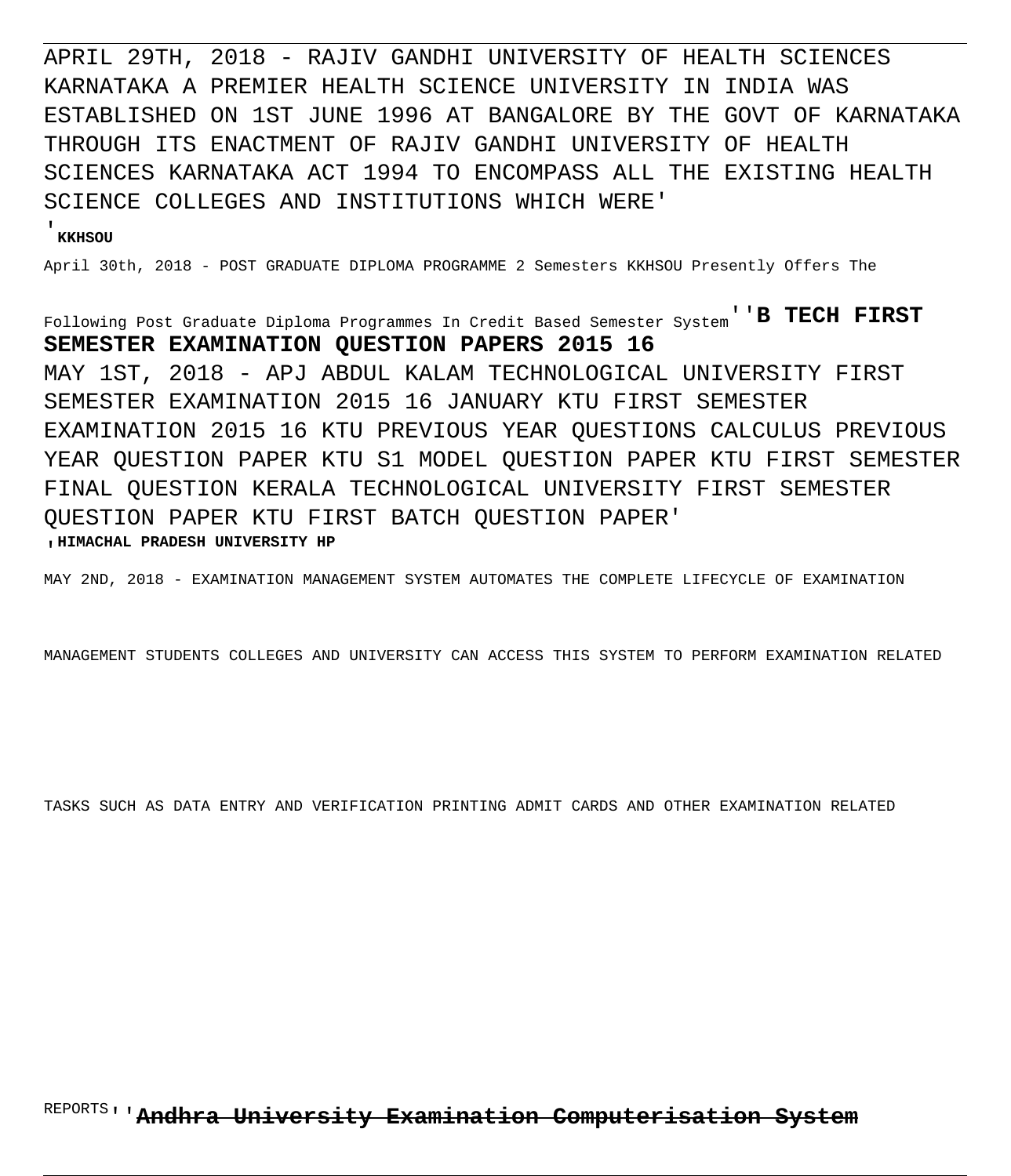APRIL 29TH, 2018 - RAJIV GANDHI UNIVERSITY OF HEALTH SCIENCES KARNATAKA A PREMIER HEALTH SCIENCE UNIVERSITY IN INDIA WAS ESTABLISHED ON 1ST JUNE 1996 AT BANGALORE BY THE GOVT OF KARNATAKA THROUGH ITS ENACTMENT OF RAJIV GANDHI UNIVERSITY OF HEALTH SCIENCES KARNATAKA ACT 1994 TO ENCOMPASS ALL THE EXISTING HEALTH SCIENCE COLLEGES AND INSTITUTIONS WHICH WERE'

#### '**KKHSOU**

April 30th, 2018 - POST GRADUATE DIPLOMA PROGRAMME 2 Semesters KKHSOU Presently Offers The

Following Post Graduate Diploma Programmes In Credit Based Semester System''**B TECH FIRST SEMESTER EXAMINATION QUESTION PAPERS 2015 16** MAY 1ST, 2018 - APJ ABDUL KALAM TECHNOLOGICAL UNIVERSITY FIRST SEMESTER EXAMINATION 2015 16 JANUARY KTU FIRST SEMESTER EXAMINATION 2015 16 KTU PREVIOUS YEAR QUESTIONS CALCULUS PREVIOUS YEAR QUESTION PAPER KTU S1 MODEL QUESTION PAPER KTU FIRST SEMESTER FINAL QUESTION KERALA TECHNOLOGICAL UNIVERSITY FIRST SEMESTER QUESTION PAPER KTU FIRST BATCH QUESTION PAPER' '**HIMACHAL PRADESH UNIVERSITY HP**

MAY 2ND, 2018 - EXAMINATION MANAGEMENT SYSTEM AUTOMATES THE COMPLETE LIFECYCLE OF EXAMINATION

MANAGEMENT STUDENTS COLLEGES AND UNIVERSITY CAN ACCESS THIS SYSTEM TO PERFORM EXAMINATION RELATED

TASKS SUCH AS DATA ENTRY AND VERIFICATION PRINTING ADMIT CARDS AND OTHER EXAMINATION RELATED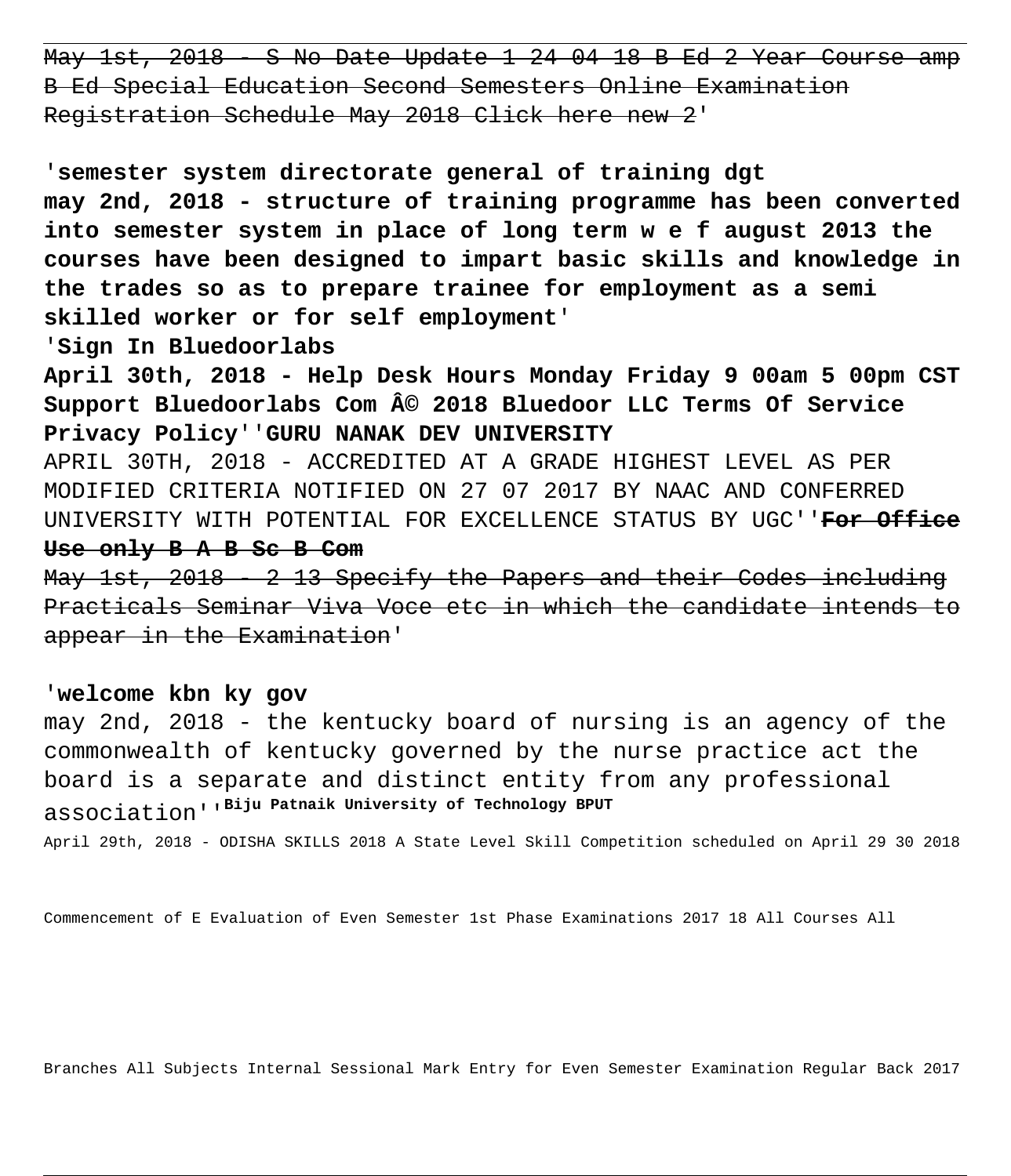May 1st, 2018 - S No Date Update 1 24 04 18 B Ed 2 Year Course amp B Ed Special Education Second Semesters Online Examination Registration Schedule May 2018 Click here new 2'

'**semester system directorate general of training dgt may 2nd, 2018 - structure of training programme has been converted into semester system in place of long term w e f august 2013 the courses have been designed to impart basic skills and knowledge in the trades so as to prepare trainee for employment as a semi skilled worker or for self employment**'

'**Sign In Bluedoorlabs**

**April 30th, 2018 - Help Desk Hours Monday Friday 9 00am 5 00pm CST** Support Bluedoorlabs Com  $\hat{A}$ © 2018 Bluedoor LLC Terms Of Service **Privacy Policy**''**GURU NANAK DEV UNIVERSITY**

APRIL 30TH, 2018 - ACCREDITED AT A GRADE HIGHEST LEVEL AS PER MODIFIED CRITERIA NOTIFIED ON 27 07 2017 BY NAAC AND CONFERRED UNIVERSITY WITH POTENTIAL FOR EXCELLENCE STATUS BY UGC''**For Office Use only B A B Sc B Com**

May 1st, 2018 - 2 13 Specify the Papers and their Codes including Practicals Seminar Viva Voce etc in which the candidate intends to appear in the Examination'

#### '**welcome kbn ky gov**

may 2nd, 2018 - the kentucky board of nursing is an agency of the commonwealth of kentucky governed by the nurse practice act the board is a separate and distinct entity from any professional association''**Biju Patnaik University of Technology BPUT**

April 29th, 2018 - ODISHA SKILLS 2018 A State Level Skill Competition scheduled on April 29 30 2018

Commencement of E Evaluation of Even Semester 1st Phase Examinations 2017 18 All Courses All

Branches All Subjects Internal Sessional Mark Entry for Even Semester Examination Regular Back 2017